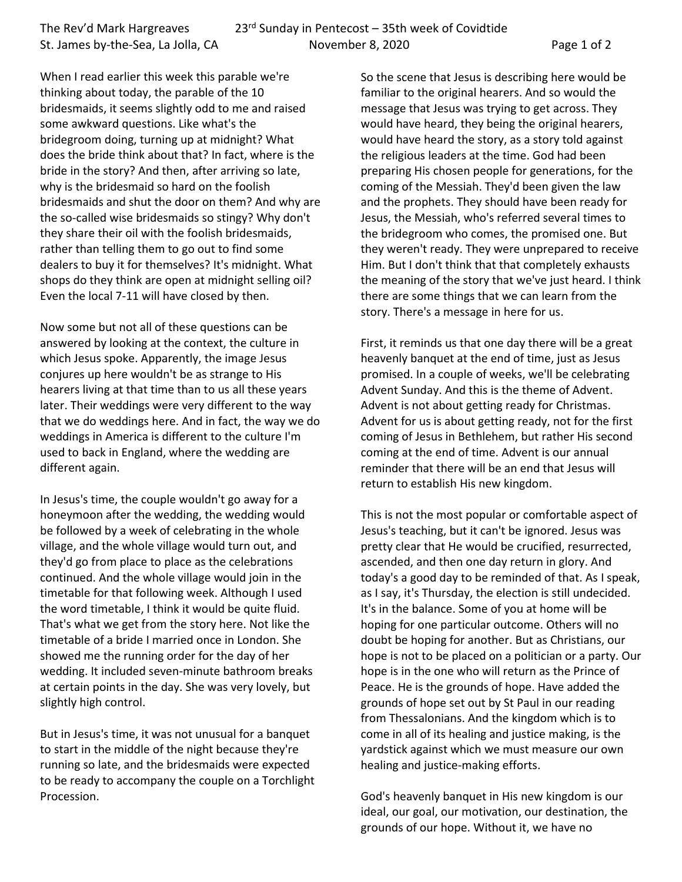When I read earlier this week this parable we're thinking about today, the parable of the 10 bridesmaids, it seems slightly odd to me and raised some awkward questions. Like what's the bridegroom doing, turning up at midnight? What does the bride think about that? In fact, where is the bride in the story? And then, after arriving so late, why is the bridesmaid so hard on the foolish bridesmaids and shut the door on them? And why are the so-called wise bridesmaids so stingy? Why don't they share their oil with the foolish bridesmaids, rather than telling them to go out to find some dealers to buy it for themselves? It's midnight. What shops do they think are open at midnight selling oil? Even the local 7-11 will have closed by then.

Now some but not all of these questions can be answered by looking at the context, the culture in which Jesus spoke. Apparently, the image Jesus conjures up here wouldn't be as strange to His hearers living at that time than to us all these years later. Their weddings were very different to the way that we do weddings here. And in fact, the way we do weddings in America is different to the culture I'm used to back in England, where the wedding are different again.

In Jesus's time, the couple wouldn't go away for a honeymoon after the wedding, the wedding would be followed by a week of celebrating in the whole village, and the whole village would turn out, and they'd go from place to place as the celebrations continued. And the whole village would join in the timetable for that following week. Although I used the word timetable, I think it would be quite fluid. That's what we get from the story here. Not like the timetable of a bride I married once in London. She showed me the running order for the day of her wedding. It included seven-minute bathroom breaks at certain points in the day. She was very lovely, but slightly high control.

But in Jesus's time, it was not unusual for a banquet to start in the middle of the night because they're running so late, and the bridesmaids were expected to be ready to accompany the couple on a Torchlight Procession.

So the scene that Jesus is describing here would be familiar to the original hearers. And so would the message that Jesus was trying to get across. They would have heard, they being the original hearers, would have heard the story, as a story told against the religious leaders at the time. God had been preparing His chosen people for generations, for the coming of the Messiah. They'd been given the law and the prophets. They should have been ready for Jesus, the Messiah, who's referred several times to the bridegroom who comes, the promised one. But they weren't ready. They were unprepared to receive Him. But I don't think that that completely exhausts the meaning of the story that we've just heard. I think there are some things that we can learn from the story. There's a message in here for us.

First, it reminds us that one day there will be a great heavenly banquet at the end of time, just as Jesus promised. In a couple of weeks, we'll be celebrating Advent Sunday. And this is the theme of Advent. Advent is not about getting ready for Christmas. Advent for us is about getting ready, not for the first coming of Jesus in Bethlehem, but rather His second coming at the end of time. Advent is our annual reminder that there will be an end that Jesus will return to establish His new kingdom.

This is not the most popular or comfortable aspect of Jesus's teaching, but it can't be ignored. Jesus was pretty clear that He would be crucified, resurrected, ascended, and then one day return in glory. And today's a good day to be reminded of that. As I speak, as I say, it's Thursday, the election is still undecided. It's in the balance. Some of you at home will be hoping for one particular outcome. Others will no doubt be hoping for another. But as Christians, our hope is not to be placed on a politician or a party. Our hope is in the one who will return as the Prince of Peace. He is the grounds of hope. Have added the grounds of hope set out by St Paul in our reading from Thessalonians. And the kingdom which is to come in all of its healing and justice making, is the yardstick against which we must measure our own healing and justice-making efforts.

God's heavenly banquet in His new kingdom is our ideal, our goal, our motivation, our destination, the grounds of our hope. Without it, we have no